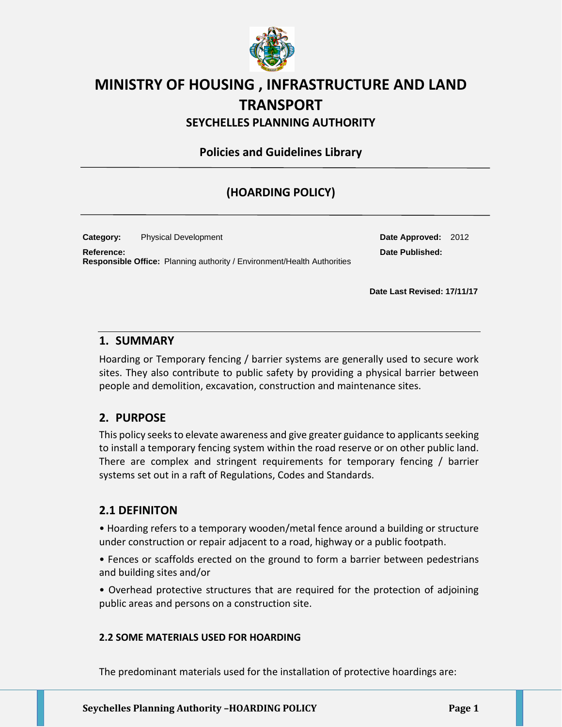

# **MINISTRY OF HOUSING , INFRASTRUCTURE AND LAND TRANSPORT**

**SEYCHELLES PLANNING AUTHORITY**

**Policies and Guidelines Library**

## **(HOARDING POLICY)**

**Category:** Physical Development **Date Approved:** 2012 **Reference: Date Published: Responsible Office:** Planning authority / Environment/Health Authorities

**Date Last Revised: 17/11/17**

## **1. SUMMARY**

Hoarding or Temporary fencing / barrier systems are generally used to secure work sites. They also contribute to public safety by providing a physical barrier between people and demolition, excavation, construction and maintenance sites.

## **2. PURPOSE**

This policy seeks to elevate awareness and give greater guidance to applicants seeking to install a temporary fencing system within the road reserve or on other public land. There are complex and stringent requirements for temporary fencing / barrier systems set out in a raft of Regulations, Codes and Standards.

## **2.1 DEFINITON**

• Hoarding refers to a temporary wooden/metal fence around a building or structure under construction or repair adjacent to a road, highway or a public footpath.

• Fences or scaffolds erected on the ground to form a barrier between pedestrians and building sites and/or

• Overhead protective structures that are required for the protection of adjoining public areas and persons on a construction site.

#### **2.2 SOME MATERIALS USED FOR HOARDING**

The predominant materials used for the installation of protective hoardings are: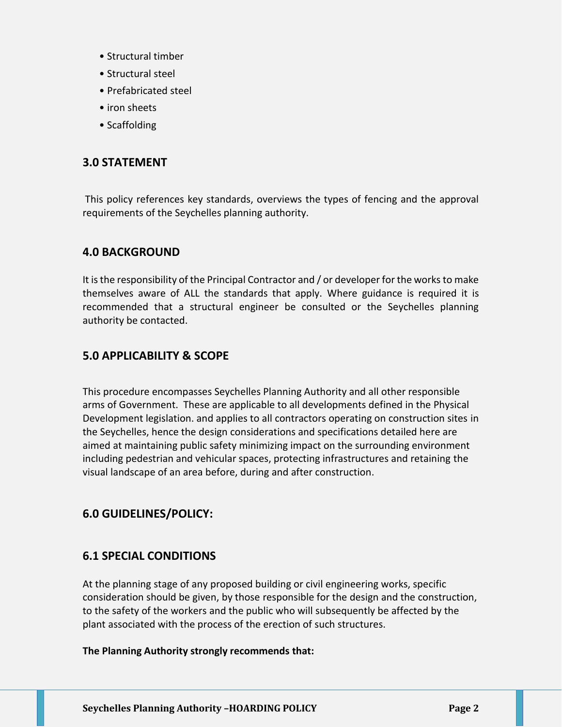- Structural timber
- Structural steel
- Prefabricated steel
- iron sheets
- Scaffolding

## **3.0 STATEMENT**

This policy references key standards, overviews the types of fencing and the approval requirements of the Seychelles planning authority.

## **4.0 BACKGROUND**

It is the responsibility of the Principal Contractor and / or developer for the works to make themselves aware of ALL the standards that apply. Where guidance is required it is recommended that a structural engineer be consulted or the Seychelles planning authority be contacted.

## **5.0 APPLICABILITY & SCOPE**

This procedure encompasses Seychelles Planning Authority and all other responsible arms of Government. These are applicable to all developments defined in the Physical Development legislation. and applies to all contractors operating on construction sites in the Seychelles, hence the design considerations and specifications detailed here are aimed at maintaining public safety minimizing impact on the surrounding environment including pedestrian and vehicular spaces, protecting infrastructures and retaining the visual landscape of an area before, during and after construction.

## **6.0 GUIDELINES/POLICY:**

## **6.1 SPECIAL CONDITIONS**

At the planning stage of any proposed building or civil engineering works, specific consideration should be given, by those responsible for the design and the construction, to the safety of the workers and the public who will subsequently be affected by the plant associated with the process of the erection of such structures.

#### **The Planning Authority strongly recommends that:**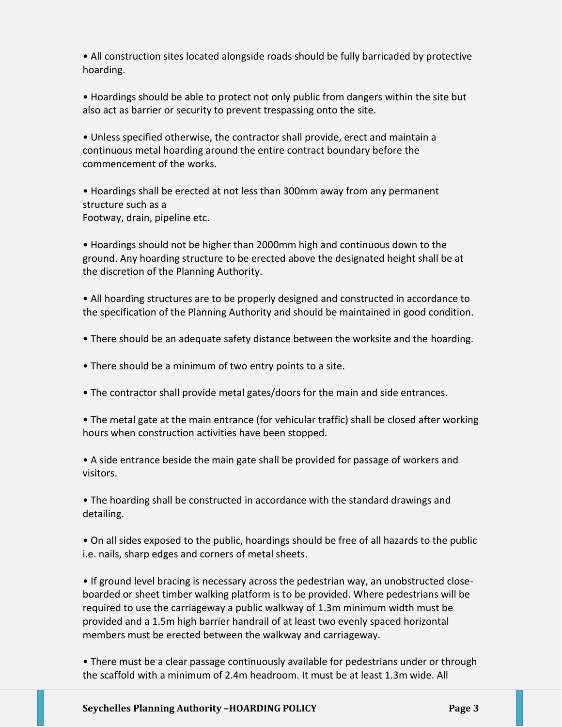• All construction sites located alongside roads should be fully barricaded by protective hoarding.

• Hoardings should be able to protect not only public from dangers within the site but also act as barrier or security to prevent trespassing onto the site.

• Unless specified otherwise, the contractor shall provide, erect and maintain a continuous metal hoarding around the entire contract boundary before the commencement of the works.

• Hoardings shall be erected at not less than 300mm away from any permanent structure such as a Footway, drain, pipeline etc.

• Hoardings should not be higher than 2000mm high and continuous down to the ground. Any hoarding structure to be erected above the designated height shall be at the discretion of the Planning Authority.

• All hoarding structures are to be properly designed and constructed in accordance to the specification of the Planning Authority and should be maintained in good condition.

- There should be an adequate safety distance between the worksite and the hoarding.
- There should be a minimum of two entry points to a site.
- The contractor shall provide metal gates/doors for the main and side entrances.

• The metal gate at the main entrance (for vehicular traffic) shall be closed after working hours when construction activities have been stopped.

• A side entrance beside the main gate shall be provided for passage of workers and visitors.

• The hoarding shall be constructed in accordance with the standard drawings and detailing.

• On all sides exposed to the public, hoardings should be free of all hazards to the public i.e. nails, sharp edges and corners of metal sheets.

• If ground level bracing is necessary across the pedestrian way, an unobstructed closeboarded or sheet timber walking platform is to be provided. Where pedestrians will be required to use the carriageway a public walkway of 1.3m minimum width must be provided and a 1.5m high barrier handrail of at least two evenly spaced horizontal members must be erected between the walkway and carriageway.

• There must be a clear passage continuously available for pedestrians under or through the scaffold with a minimum of 2.4m headroom. It must be at least 1.3m wide. All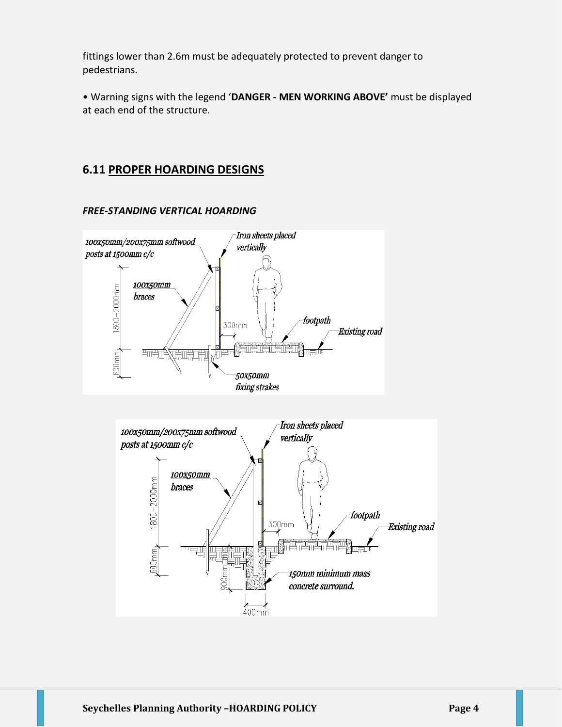fittings lower than 2.6m must be adequately protected to prevent danger to pedestrians.

• Warning signs with the legend '**DANGER - MEN WORKING ABOVE'** must be displayed at each end of the structure.

## **6.11 PROPER HOARDING DESIGNS**

#### *FREE-STANDING VERTICAL HOARDING*



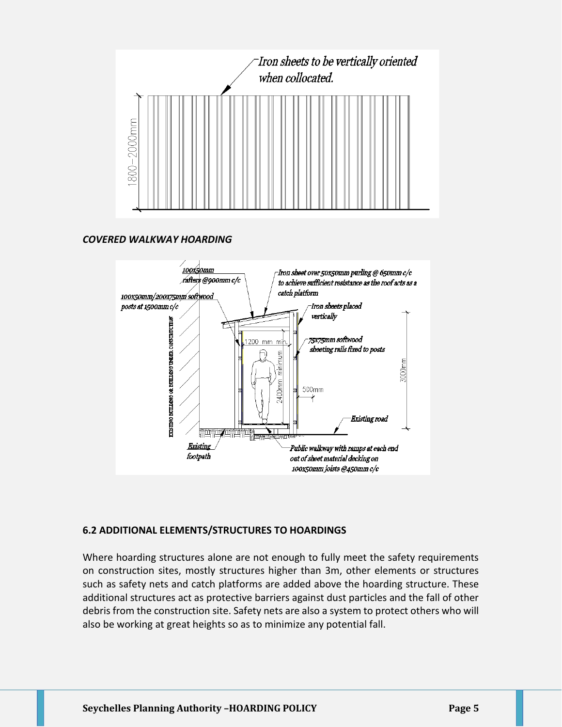

#### *COVERED WALKWAY HOARDING*



#### **6.2 ADDITIONAL ELEMENTS/STRUCTURES TO HOARDINGS**

Where hoarding structures alone are not enough to fully meet the safety requirements on construction sites, mostly structures higher than 3m, other elements or structures such as safety nets and catch platforms are added above the hoarding structure. These additional structures act as protective barriers against dust particles and the fall of other debris from the construction site. Safety nets are also a system to protect others who will also be working at great heights so as to minimize any potential fall.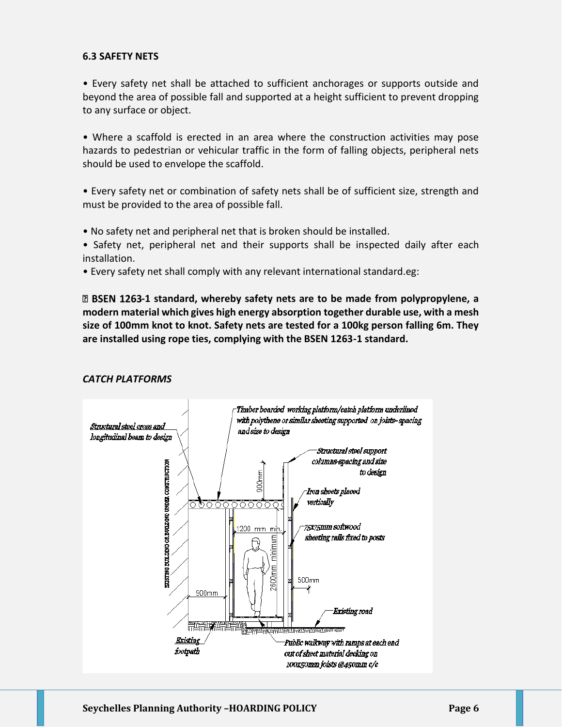#### **6.3 SAFETY NETS**

• Every safety net shall be attached to sufficient anchorages or supports outside and beyond the area of possible fall and supported at a height sufficient to prevent dropping to any surface or object.

• Where a scaffold is erected in an area where the construction activities may pose hazards to pedestrian or vehicular traffic in the form of falling objects, peripheral nets should be used to envelope the scaffold.

• Every safety net or combination of safety nets shall be of sufficient size, strength and must be provided to the area of possible fall.

• No safety net and peripheral net that is broken should be installed.

• Safety net, peripheral net and their supports shall be inspected daily after each installation.

• Every safety net shall comply with any relevant international standard.eg:

**<sup>1</sup> BSEN 1263-1 standard, whereby safety nets are to be made from polypropylene, a modern material which gives high energy absorption together durable use, with a mesh size of 100mm knot to knot. Safety nets are tested for a 100kg person falling 6m. They are installed using rope ties, complying with the BSEN 1263-1 standard.**

#### *CATCH PLATFORMS*